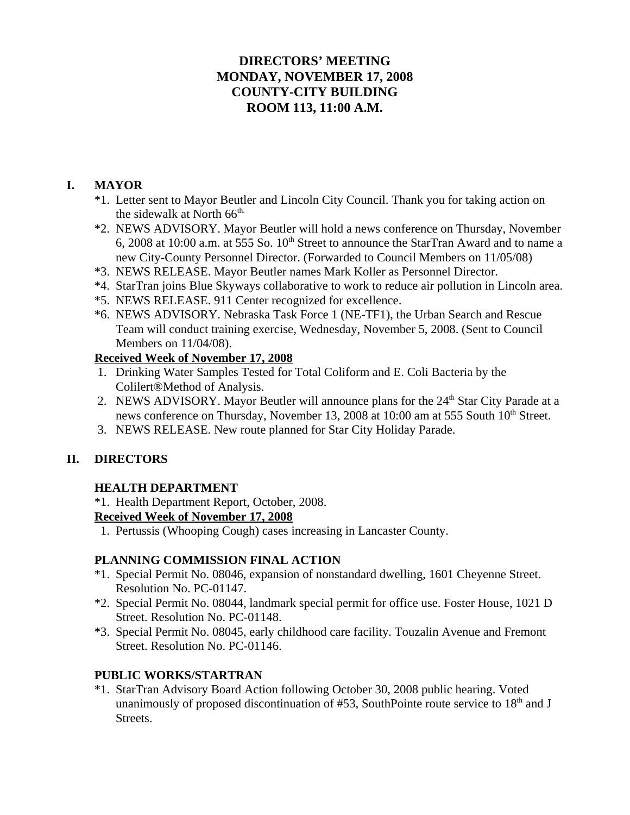## **DIRECTORS' MEETING MONDAY, NOVEMBER 17, 2008 COUNTY-CITY BUILDING ROOM 113, 11:00 A.M.**

## **I. MAYOR**

- \*1. Letter sent to Mayor Beutler and Lincoln City Council. Thank you for taking action on the sidewalk at North 66<sup>th.</sup>
- \*2. NEWS ADVISORY. Mayor Beutler will hold a news conference on Thursday, November 6, 2008 at 10:00 a.m. at 555 So.  $10<sup>th</sup>$  Street to announce the StarTran Award and to name a new City-County Personnel Director. (Forwarded to Council Members on 11/05/08)
- \*3. NEWS RELEASE. Mayor Beutler names Mark Koller as Personnel Director.
- \*4. StarTran joins Blue Skyways collaborative to work to reduce air pollution in Lincoln area.
- \*5. NEWS RELEASE. 911 Center recognized for excellence.
- \*6. NEWS ADVISORY. Nebraska Task Force 1 (NE-TF1), the Urban Search and Rescue Team will conduct training exercise, Wednesday, November 5, 2008. (Sent to Council Members on 11/04/08).

### **Received Week of November 17, 2008**

- 1. Drinking Water Samples Tested for Total Coliform and E. Coli Bacteria by the Colilert®Method of Analysis.
- 2. NEWS ADVISORY. Mayor Beutler will announce plans for the 24<sup>th</sup> Star City Parade at a news conference on Thursday, November 13, 2008 at 10:00 am at 555 South 10<sup>th</sup> Street.
- 3. NEWS RELEASE. New route planned for Star City Holiday Parade.

## **II. DIRECTORS**

## **HEALTH DEPARTMENT**

\*1. Health Department Report, October, 2008.

### **Received Week of November 17, 2008**

1. Pertussis (Whooping Cough) cases increasing in Lancaster County.

## **PLANNING COMMISSION FINAL ACTION**

- \*1. Special Permit No. 08046, expansion of nonstandard dwelling, 1601 Cheyenne Street. Resolution No. PC-01147.
- \*2. Special Permit No. 08044, landmark special permit for office use. Foster House, 1021 D Street. Resolution No. PC-01148.
- \*3. Special Permit No. 08045, early childhood care facility. Touzalin Avenue and Fremont Street. Resolution No. PC-01146.

## **PUBLIC WORKS/STARTRAN**

\*1. StarTran Advisory Board Action following October 30, 2008 public hearing. Voted unanimously of proposed discontinuation of  $#53$ , SouthPointe route service to  $18<sup>th</sup>$  and J Streets.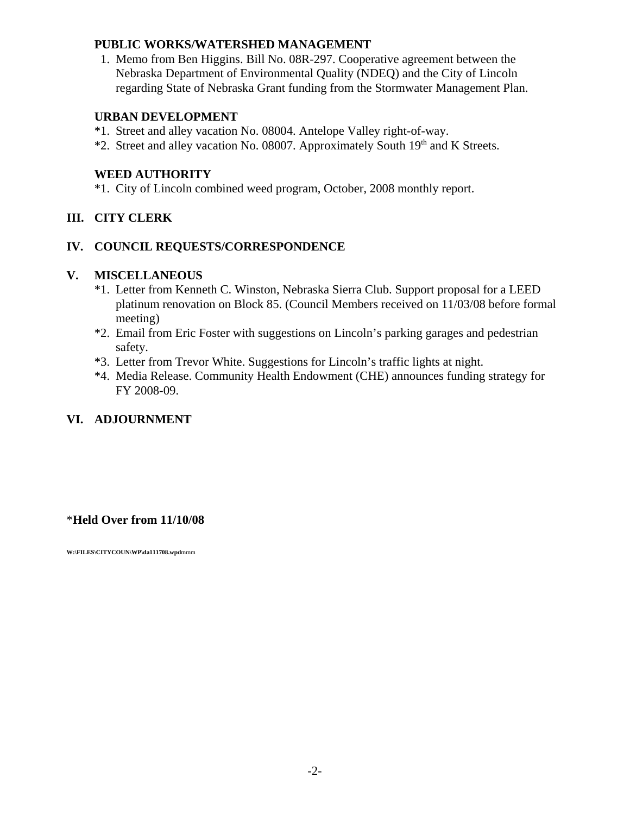#### **PUBLIC WORKS/WATERSHED MANAGEMENT**

 1. Memo from Ben Higgins. Bill No. 08R-297. Cooperative agreement between the Nebraska Department of Environmental Quality (NDEQ) and the City of Lincoln regarding State of Nebraska Grant funding from the Stormwater Management Plan.

#### **URBAN DEVELOPMENT**

- \*1. Street and alley vacation No. 08004. Antelope Valley right-of-way.
- \*2. Street and alley vacation No. 08007. Approximately South 19<sup>th</sup> and K Streets.

#### **WEED AUTHORITY**

\*1. City of Lincoln combined weed program, October, 2008 monthly report.

### **III. CITY CLERK**

### **IV. COUNCIL REQUESTS/CORRESPONDENCE**

#### **V. MISCELLANEOUS**

- \*1. Letter from Kenneth C. Winston, Nebraska Sierra Club. Support proposal for a LEED platinum renovation on Block 85. (Council Members received on 11/03/08 before formal meeting)
- \*2. Email from Eric Foster with suggestions on Lincoln's parking garages and pedestrian safety.
- \*3. Letter from Trevor White. Suggestions for Lincoln's traffic lights at night.
- \*4. Media Release. Community Health Endowment (CHE) announces funding strategy for FY 2008-09.

## **VI. ADJOURNMENT**

## \***Held Over from 11/10/08**

**W:\FILES\CITYCOUN\WP\da111708.wpd**mmm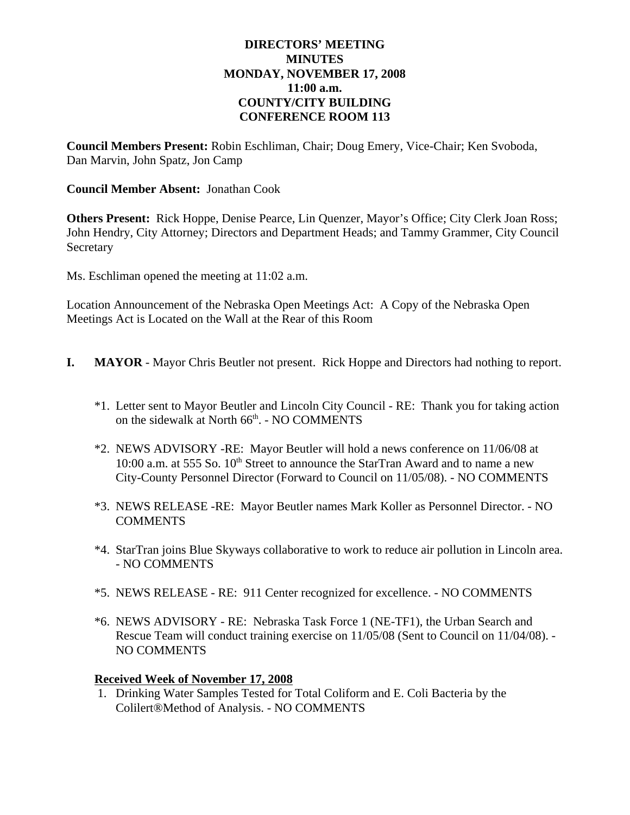#### **DIRECTORS' MEETING MINUTES MONDAY, NOVEMBER 17, 2008 11:00 a.m. COUNTY/CITY BUILDING CONFERENCE ROOM 113**

**Council Members Present:** Robin Eschliman, Chair; Doug Emery, Vice-Chair; Ken Svoboda, Dan Marvin, John Spatz, Jon Camp

#### **Council Member Absent:** Jonathan Cook

**Others Present:** Rick Hoppe, Denise Pearce, Lin Quenzer, Mayor's Office; City Clerk Joan Ross; John Hendry, City Attorney; Directors and Department Heads; and Tammy Grammer, City Council **Secretary** 

Ms. Eschliman opened the meeting at 11:02 a.m.

Location Announcement of the Nebraska Open Meetings Act: A Copy of the Nebraska Open Meetings Act is Located on the Wall at the Rear of this Room

- **I. MAYOR** Mayor Chris Beutler not present. Rick Hoppe and Directors had nothing to report.
	- \*1. Letter sent to Mayor Beutler and Lincoln City Council RE: Thank you for taking action on the sidewalk at North 66<sup>th</sup>. - NO COMMENTS
	- \*2. NEWS ADVISORY -RE: Mayor Beutler will hold a news conference on 11/06/08 at 10:00 a.m. at 555 So.  $10^{th}$  Street to announce the StarTran Award and to name a new City-County Personnel Director (Forward to Council on 11/05/08). - NO COMMENTS
	- \*3. NEWS RELEASE -RE: Mayor Beutler names Mark Koller as Personnel Director. NO **COMMENTS**
	- \*4. StarTran joins Blue Skyways collaborative to work to reduce air pollution in Lincoln area. - NO COMMENTS
	- \*5. NEWS RELEASE RE: 911 Center recognized for excellence. NO COMMENTS
	- \*6. NEWS ADVISORY RE: Nebraska Task Force 1 (NE-TF1), the Urban Search and Rescue Team will conduct training exercise on 11/05/08 (Sent to Council on 11/04/08). - NO COMMENTS

### **Received Week of November 17, 2008**

 1. Drinking Water Samples Tested for Total Coliform and E. Coli Bacteria by the Colilert®Method of Analysis. - NO COMMENTS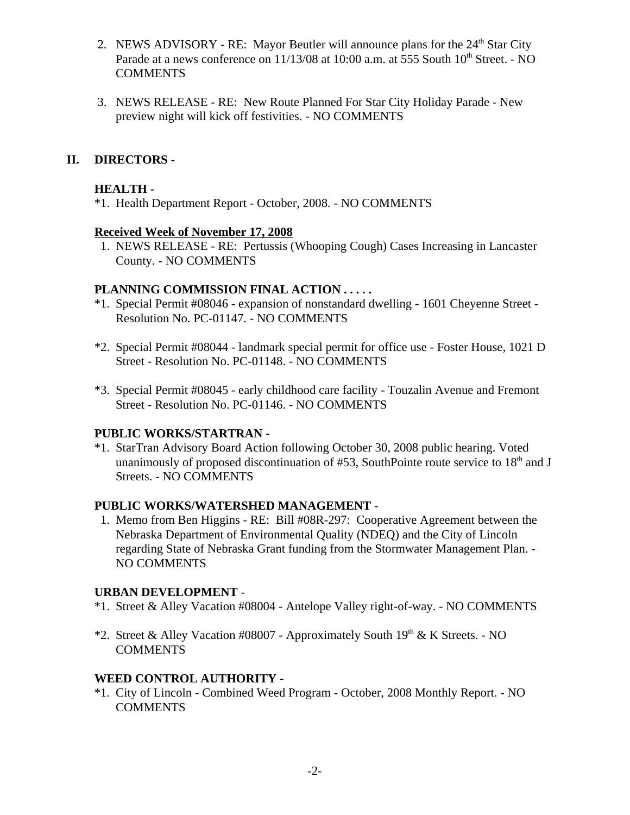- 2. NEWS ADVISORY RE: Mayor Beutler will announce plans for the  $24<sup>th</sup>$  Star City Parade at a news conference on  $11/13/08$  at  $10:00$  a.m. at 555 South  $10<sup>th</sup>$  Street. - NO **COMMENTS**
- 3. NEWS RELEASE RE: New Route Planned For Star City Holiday Parade New preview night will kick off festivities. - NO COMMENTS

### **II. DIRECTORS -**

#### **HEALTH -**

\*1. Health Department Report - October, 2008. - NO COMMENTS

#### **Received Week of November 17, 2008**

 1. NEWS RELEASE - RE: Pertussis (Whooping Cough) Cases Increasing in Lancaster County. - NO COMMENTS

#### **PLANNING COMMISSION FINAL ACTION . . . . .**

- \*1. Special Permit #08046 expansion of nonstandard dwelling 1601 Cheyenne Street Resolution No. PC-01147. - NO COMMENTS
- \*2. Special Permit #08044 landmark special permit for office use Foster House, 1021 D Street - Resolution No. PC-01148. - NO COMMENTS
- \*3. Special Permit #08045 early childhood care facility Touzalin Avenue and Fremont Street - Resolution No. PC-01146. - NO COMMENTS

### **PUBLIC WORKS/STARTRAN -**

\*1. StarTran Advisory Board Action following October 30, 2008 public hearing. Voted unanimously of proposed discontinuation of  $#53$ , SouthPointe route service to  $18<sup>th</sup>$  and J Streets. - NO COMMENTS

### **PUBLIC WORKS/WATERSHED MANAGEMENT** -

 1. Memo from Ben Higgins - RE: Bill #08R-297: Cooperative Agreement between the Nebraska Department of Environmental Quality (NDEQ) and the City of Lincoln regarding State of Nebraska Grant funding from the Stormwater Management Plan. - NO COMMENTS

#### **URBAN DEVELOPMENT** -

- \*1. Street & Alley Vacation #08004 Antelope Valley right-of-way. NO COMMENTS
- \*2. Street & Alley Vacation #08007 Approximately South  $19<sup>th</sup>$  & K Streets. NO **COMMENTS**

### **WEED CONTROL AUTHORITY -**

\*1. City of Lincoln - Combined Weed Program - October, 2008 Monthly Report. - NO **COMMENTS**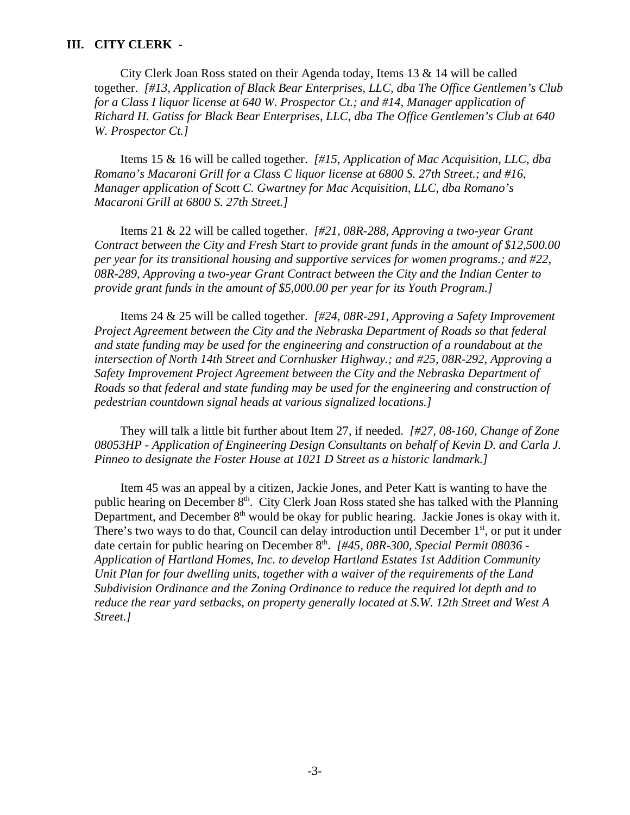#### **III. CITY CLERK -**

City Clerk Joan Ross stated on their Agenda today, Items 13 & 14 will be called together. *[#13, Application of Black Bear Enterprises, LLC, dba The Office Gentlemen's Club for a Class I liquor license at 640 W. Prospector Ct.; and #14, Manager application of Richard H. Gatiss for Black Bear Enterprises, LLC, dba The Office Gentlemen's Club at 640 W. Prospector Ct.]*

Items 15 & 16 will be called together. *[#15, Application of Mac Acquisition, LLC, dba Romano's Macaroni Grill for a Class C liquor license at 6800 S. 27th Street.; and #16, Manager application of Scott C. Gwartney for Mac Acquisition, LLC, dba Romano's Macaroni Grill at 6800 S. 27th Street.]* 

Items 21 & 22 will be called together. *[#21, 08R-288, Approving a two-year Grant Contract between the City and Fresh Start to provide grant funds in the amount of \$12,500.00 per year for its transitional housing and supportive services for women programs.; and #22, 08R-289, Approving a two-year Grant Contract between the City and the Indian Center to provide grant funds in the amount of \$5,000.00 per year for its Youth Program.]*

Items 24 & 25 will be called together. *[#24, 08R-291, Approving a Safety Improvement Project Agreement between the City and the Nebraska Department of Roads so that federal and state funding may be used for the engineering and construction of a roundabout at the intersection of North 14th Street and Cornhusker Highway.; and #25, 08R-292, Approving a Safety Improvement Project Agreement between the City and the Nebraska Department of Roads so that federal and state funding may be used for the engineering and construction of pedestrian countdown signal heads at various signalized locations.]*

They will talk a little bit further about Item 27, if needed. *[#27, 08-160, Change of Zone 08053HP - Application of Engineering Design Consultants on behalf of Kevin D. and Carla J. Pinneo to designate the Foster House at 1021 D Street as a historic landmark.]*

Item 45 was an appeal by a citizen, Jackie Jones, and Peter Katt is wanting to have the public hearing on December 8<sup>th</sup>. City Clerk Joan Ross stated she has talked with the Planning Department, and December  $8<sup>th</sup>$  would be okay for public hearing. Jackie Jones is okay with it. There's two ways to do that, Council can delay introduction until December  $1<sup>st</sup>$ , or put it under date certain for public hearing on December 8<sup>th</sup>. *[#45, 08R-300, Special Permit 08036 -Application of Hartland Homes, Inc. to develop Hartland Estates 1st Addition Community Unit Plan for four dwelling units, together with a waiver of the requirements of the Land Subdivision Ordinance and the Zoning Ordinance to reduce the required lot depth and to reduce the rear yard setbacks, on property generally located at S.W. 12th Street and West A Street.]*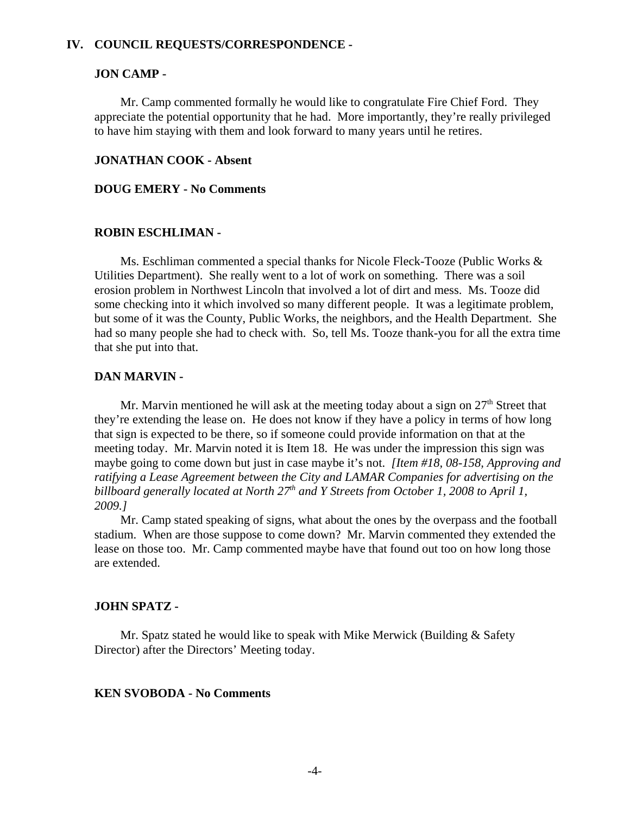#### **IV. COUNCIL REQUESTS/CORRESPONDENCE -**

#### **JON CAMP -**

Mr. Camp commented formally he would like to congratulate Fire Chief Ford. They appreciate the potential opportunity that he had. More importantly, they're really privileged to have him staying with them and look forward to many years until he retires.

#### **JONATHAN COOK - Absent**

#### **DOUG EMERY - No Comments**

#### **ROBIN ESCHLIMAN -**

Ms. Eschliman commented a special thanks for Nicole Fleck-Tooze (Public Works & Utilities Department). She really went to a lot of work on something. There was a soil erosion problem in Northwest Lincoln that involved a lot of dirt and mess. Ms. Tooze did some checking into it which involved so many different people. It was a legitimate problem, but some of it was the County, Public Works, the neighbors, and the Health Department. She had so many people she had to check with. So, tell Ms. Tooze thank-you for all the extra time that she put into that.

#### **DAN MARVIN -**

Mr. Marvin mentioned he will ask at the meeting today about a sign on  $27<sup>th</sup>$  Street that they're extending the lease on. He does not know if they have a policy in terms of how long that sign is expected to be there, so if someone could provide information on that at the meeting today. Mr. Marvin noted it is Item 18. He was under the impression this sign was maybe going to come down but just in case maybe it's not. *[Item #18, 08-158, Approving and ratifying a Lease Agreement between the City and LAMAR Companies for advertising on the billboard generally located at North 27th and Y Streets from October 1, 2008 to April 1, 2009.]*

Mr. Camp stated speaking of signs, what about the ones by the overpass and the football stadium. When are those suppose to come down? Mr. Marvin commented they extended the lease on those too. Mr. Camp commented maybe have that found out too on how long those are extended.

#### **JOHN SPATZ -**

Mr. Spatz stated he would like to speak with Mike Merwick (Building  $&$  Safety Director) after the Directors' Meeting today.

#### **KEN SVOBODA - No Comments**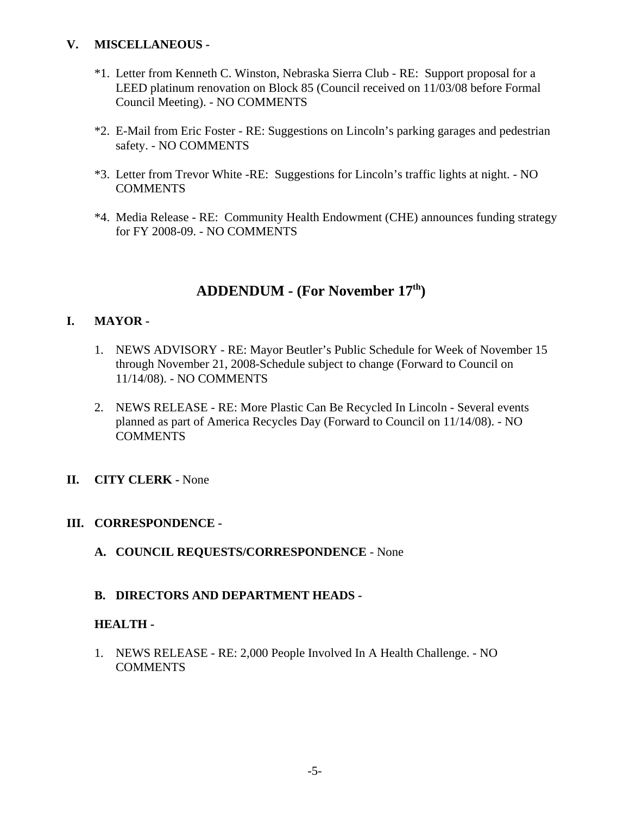### **V. MISCELLANEOUS -**

- \*1. Letter from Kenneth C. Winston, Nebraska Sierra Club RE: Support proposal for a LEED platinum renovation on Block 85 (Council received on 11/03/08 before Formal Council Meeting). - NO COMMENTS
- \*2. E-Mail from Eric Foster RE: Suggestions on Lincoln's parking garages and pedestrian safety. - NO COMMENTS
- \*3. Letter from Trevor White -RE: Suggestions for Lincoln's traffic lights at night. NO **COMMENTS**
- \*4. Media Release RE: Community Health Endowment (CHE) announces funding strategy for FY 2008-09. - NO COMMENTS

# **ADDENDUM - (For November 17th)**

## **I. MAYOR -**

- 1. NEWS ADVISORY RE: Mayor Beutler's Public Schedule for Week of November 15 through November 21, 2008-Schedule subject to change (Forward to Council on 11/14/08). - NO COMMENTS
- 2. NEWS RELEASE RE: More Plastic Can Be Recycled In Lincoln Several events planned as part of America Recycles Day (Forward to Council on 11/14/08). - NO **COMMENTS**
- **II. CITY CLERK** None

### **III. CORRESPONDENCE -**

**A. COUNCIL REQUESTS/CORRESPONDENCE** - None

## **B. DIRECTORS AND DEPARTMENT HEADS -**

### **HEALTH -**

1. NEWS RELEASE - RE: 2,000 People Involved In A Health Challenge. - NO **COMMENTS**